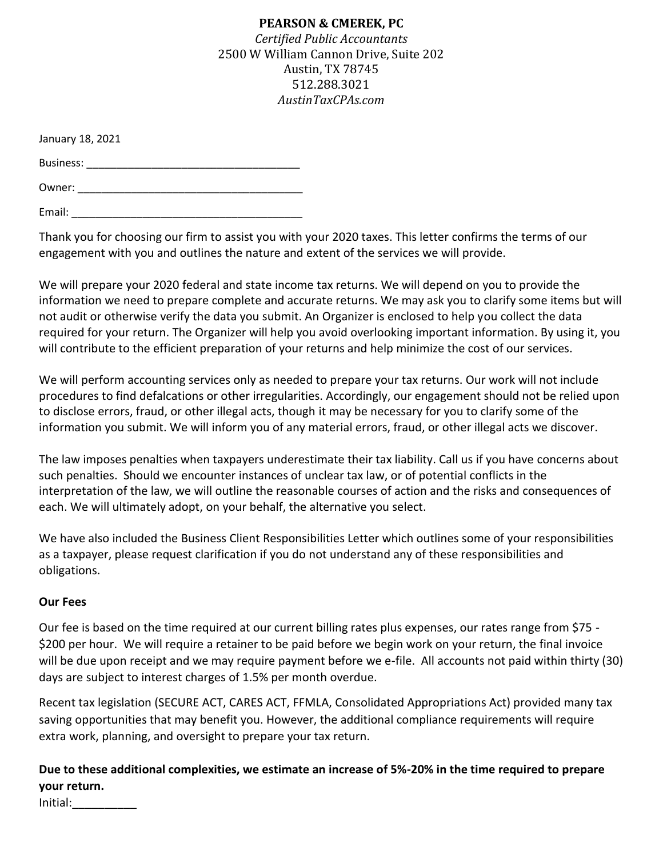### **PEARSON & CMEREK, PC**

*Certified Public Accountants* 2500 W William Cannon Drive, Suite 202 Austin, TX 78745 512.288.3021 *AustinTaxCPAs.com*

January 18, 2021

Business: \_\_\_\_\_\_\_\_\_\_\_\_\_\_\_\_\_\_\_\_\_\_\_\_\_\_\_\_\_\_\_\_\_\_\_\_

Owner: \_\_\_\_\_\_\_\_\_\_\_\_\_\_\_\_\_\_\_\_\_\_\_\_\_\_\_\_\_\_\_\_\_\_\_\_\_\_

Email:  $\blacksquare$ 

Thank you for choosing our firm to assist you with your 2020 taxes. This letter confirms the terms of our engagement with you and outlines the nature and extent of the services we will provide.

We will prepare your 2020 federal and state income tax returns. We will depend on you to provide the information we need to prepare complete and accurate returns. We may ask you to clarify some items but will not audit or otherwise verify the data you submit. An Organizer is enclosed to help you collect the data required for your return. The Organizer will help you avoid overlooking important information. By using it, you will contribute to the efficient preparation of your returns and help minimize the cost of our services.

We will perform accounting services only as needed to prepare your tax returns. Our work will not include procedures to find defalcations or other irregularities. Accordingly, our engagement should not be relied upon to disclose errors, fraud, or other illegal acts, though it may be necessary for you to clarify some of the information you submit. We will inform you of any material errors, fraud, or other illegal acts we discover.

The law imposes penalties when taxpayers underestimate their tax liability. Call us if you have concerns about such penalties. Should we encounter instances of unclear tax law, or of potential conflicts in the interpretation of the law, we will outline the reasonable courses of action and the risks and consequences of each. We will ultimately adopt, on your behalf, the alternative you select.

We have also included the Business Client Responsibilities Letter which outlines some of your responsibilities as a taxpayer, please request clarification if you do not understand any of these responsibilities and obligations.

### **Our Fees**

Our fee is based on the time required at our current billing rates plus expenses, our rates range from \$75 - \$200 per hour. We will require a retainer to be paid before we begin work on your return, the final invoice will be due upon receipt and we may require payment before we e-file. All accounts not paid within thirty (30) days are subject to interest charges of 1.5% per month overdue.

Recent tax legislation (SECURE ACT, CARES ACT, FFMLA, Consolidated Appropriations Act) provided many tax saving opportunities that may benefit you. However, the additional compliance requirements will require extra work, planning, and oversight to prepare your tax return.

**Due to these additional complexities, we estimate an increase of 5%-20% in the time required to prepare your return.**

Initial:\_\_\_\_\_\_\_\_\_\_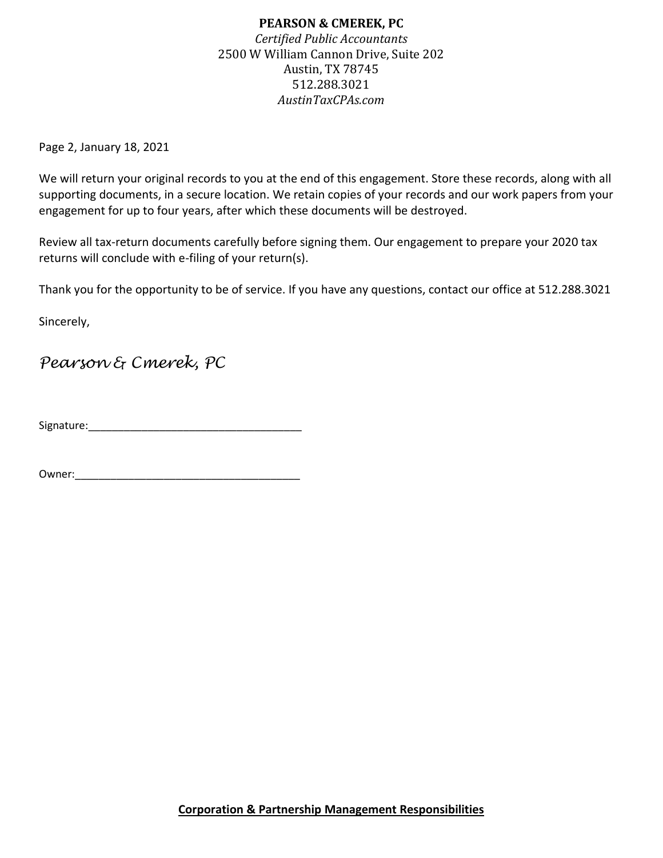## **PEARSON & CMEREK, PC** *Certified Public Accountants* 2500 W William Cannon Drive, Suite 202 Austin, TX 78745 512.288.3021 *AustinTaxCPAs.com*

Page 2, January 18, 2021

We will return your original records to you at the end of this engagement. Store these records, along with all supporting documents, in a secure location. We retain copies of your records and our work papers from your engagement for up to four years, after which these documents will be destroyed.

Review all tax-return documents carefully before signing them. Our engagement to prepare your 2020 tax returns will conclude with e-filing of your return(s).

Thank you for the opportunity to be of service. If you have any questions, contact our office at 512.288.3021

Sincerely,

# *Pearson & Cmerek, PC*

Signature:\_\_\_\_\_\_\_\_\_\_\_\_\_\_\_\_\_\_\_\_\_\_\_\_\_\_\_\_\_\_\_\_\_\_\_\_

Owner:\_\_\_\_\_\_\_\_\_\_\_\_\_\_\_\_\_\_\_\_\_\_\_\_\_\_\_\_\_\_\_\_\_\_\_\_\_\_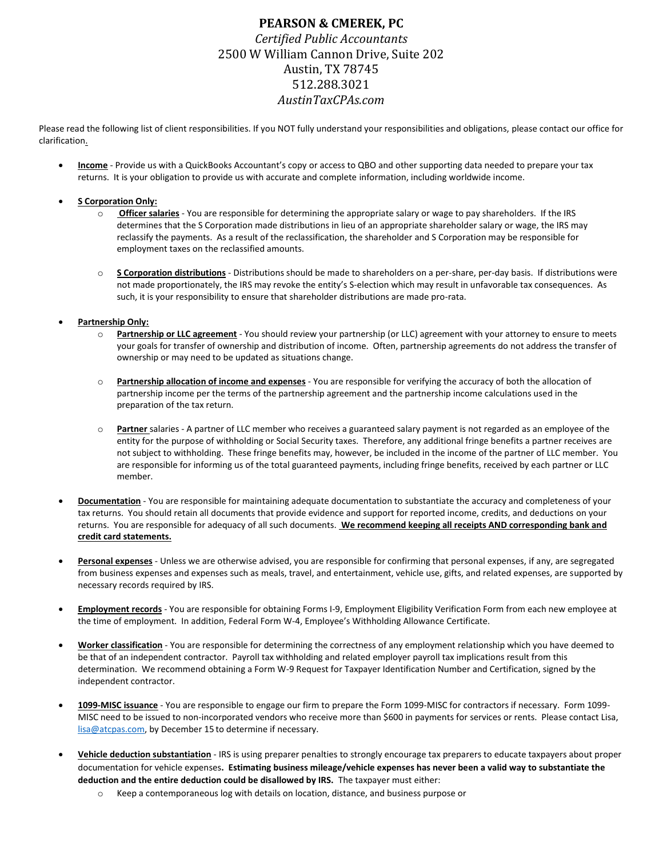### **PEARSON & CMEREK, PC** *Certified Public Accountants* 2500 W William Cannon Drive, Suite 202 Austin, TX 78745 512.288.3021 *AustinTaxCPAs.com*

Please read the following list of client responsibilities. If you NOT fully understand your responsibilities and obligations, please contact our office for clarification.

 **Income** - Provide us with a QuickBooks Accountant's copy or access to QBO and other supporting data needed to prepare your tax returns. It is your obligation to provide us with accurate and complete information, including worldwide income.

#### **S Corporation Only:**

- o **Officer salaries** You are responsible for determining the appropriate salary or wage to pay shareholders. If the IRS determines that the S Corporation made distributions in lieu of an appropriate shareholder salary or wage, the IRS may reclassify the payments. As a result of the reclassification, the shareholder and S Corporation may be responsible for employment taxes on the reclassified amounts.
- o **S Corporation distributions** Distributions should be made to shareholders on a per-share, per-day basis. If distributions were not made proportionately, the IRS may revoke the entity's S-election which may result in unfavorable tax consequences. As such, it is your responsibility to ensure that shareholder distributions are made pro-rata.

#### **Partnership Only:**

- Partnership or LLC agreement You should review your partnership (or LLC) agreement with your attorney to ensure to meets your goals for transfer of ownership and distribution of income. Often, partnership agreements do not address the transfer of ownership or may need to be updated as situations change.
- o **Partnership allocation of income and expenses** You are responsible for verifying the accuracy of both the allocation of partnership income per the terms of the partnership agreement and the partnership income calculations used in the preparation of the tax return.
- o **Partner** salaries A partner of LLC member who receives a guaranteed salary payment is not regarded as an employee of the entity for the purpose of withholding or Social Security taxes. Therefore, any additional fringe benefits a partner receives are not subject to withholding. These fringe benefits may, however, be included in the income of the partner of LLC member. You are responsible for informing us of the total guaranteed payments, including fringe benefits, received by each partner or LLC member.
- **Documentation** You are responsible for maintaining adequate documentation to substantiate the accuracy and completeness of your tax returns. You should retain all documents that provide evidence and support for reported income, credits, and deductions on your returns. You are responsible for adequacy of all such documents. **We recommend keeping all receipts AND corresponding bank and credit card statements.**
- **Personal expenses** Unless we are otherwise advised, you are responsible for confirming that personal expenses, if any, are segregated from business expenses and expenses such as meals, travel, and entertainment, vehicle use, gifts, and related expenses, are supported by necessary records required by IRS.
- **Employment records** You are responsible for obtaining Forms I-9, Employment Eligibility Verification Form from each new employee at the time of employment. In addition, Federal Form W-4, Employee's Withholding Allowance Certificate.
- **Worker classification** You are responsible for determining the correctness of any employment relationship which you have deemed to be that of an independent contractor. Payroll tax withholding and related employer payroll tax implications result from this determination. We recommend obtaining a Form W-9 Request for Taxpayer Identification Number and Certification, signed by the independent contractor.
- **1099-MISC issuance** You are responsible to engage our firm to prepare the Form 1099-MISC for contractors if necessary. Form 1099- MISC need to be issued to non-incorporated vendors who receive more than \$600 in payments for services or rents. Please contact Lisa, [lisa@atcpas.com,](mailto:lisa@atcpas.com) by December 15 to determine if necessary.
- **Vehicle deduction substantiation** IRS is using preparer penalties to strongly encourage tax preparers to educate taxpayers about proper documentation for vehicle expenses**. Estimating business mileage/vehicle expenses has never been a valid way to substantiate the deduction and the entire deduction could be disallowed by IRS.** The taxpayer must either:
	- o Keep a contemporaneous log with details on location, distance, and business purpose or